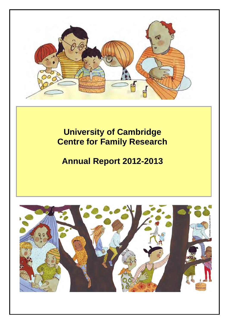

# **University of Cambridge Centre for Family Research**

# **Annual Report 2012-2013**

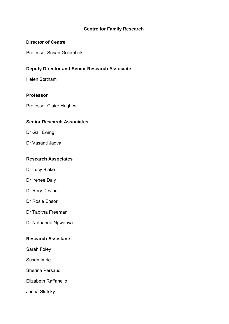## **Centre for Family Research**

## **Director of Centre**

Professor Susan Golombok

## **Deputy Director and Senior Research Associate**

Helen Statham

## **Professor**

Professor Claire Hughes

## **Senior Research Associates**

Dr Gail Ewing

Dr Vasanti Jadva

## **Research Associates**

Dr Lucy Blake

Dr Irenee Daly

Dr Rory Devine

Dr Rosie Ensor

Dr Tabitha Freeman

Dr Nothando Ngwenya

## **Research Assistants**

Sarah Foley

Susan Imrie

Sherina Persaud

Elizabeth Raffanello

Jenna Slutsky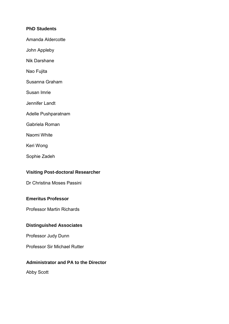## **PhD Students**

- Amanda Aldercotte
- John Appleby
- Nik Darshane
- Nao Fujita
- Susanna Graham
- Susan Imrie
- Jennifer Landt
- Adelle Pushparatnam
- Gabriela Roman
- Naomi White
- Keri Wong
- Sophie Zadeh

## **Visiting Post-doctoral Researcher**

Dr Christina Moses Passini

## **Emeritus Professor**

Professor Martin Richards

## **Distinguished Associates**

Professor Judy Dunn

Professor Sir Michael Rutter

## **Administrator and PA to the Director**

Abby Scott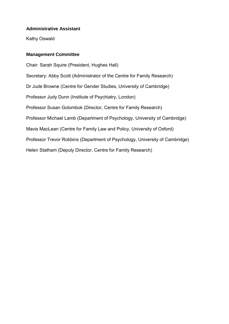## **Administrative Assistant**

Kathy Oswald

## **Management Committee**

Chair: Sarah Squire (President, Hughes Hall) Secretary: Abby Scott (Administrator of the Centre for Family Research) Dr Jude Browne (Centre for Gender Studies, University of Cambridge) Professor Judy Dunn (Institute of Psychiatry, London) Professor Susan Golombok (Director, Centre for Family Research) Professor Michael Lamb (Department of Psychology, University of Cambridge) Mavis MacLean (Centre for Family Law and Policy, University of Oxford) Professor Trevor Robbins (Department of Psychology, University of Cambridge) Helen Statham (Deputy Director, Centre for Family Research)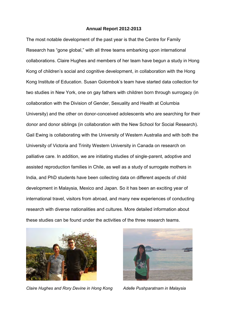#### **Annual Report 2012-2013**

The most notable development of the past year is that the Centre for Family Research has "gone global," with all three teams embarking upon international collaborations. Claire Hughes and members of her team have begun a study in Hong Kong of children's social and cognitive development, in collaboration with the Hong Kong Institute of Education. Susan Golombok's team have started data collection for two studies in New York, one on gay fathers with children born through surrogacy (in collaboration with the Division of Gender, Sexuality and Health at Columbia University) and the other on donor-conceived adolescents who are searching for their donor and donor siblings (in collaboration with the New School for Social Research). Gail Ewing is collaborating with the University of Western Australia and with both the University of Victoria and Trinity Western University in Canada on research on palliative care. In addition, we are initiating studies of single-parent, adoptive and assisted reproduction families in Chile, as well as a study of surrogate mothers in India, and PhD students have been collecting data on different aspects of child development in Malaysia, Mexico and Japan. So it has been an exciting year of international travel, visitors from abroad, and many new experiences of conducting research with diverse nationalities and cultures. More detailed information about these studies can be found under the activities of the three research teams.



*Claire Hughes and Rory Devine in Hong Kong Adelle Pushparatnam in Malaysia* 

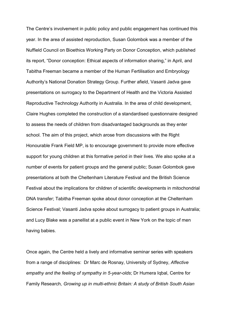The Centre's involvement in public policy and public engagement has continued this year. In the area of assisted reproduction, Susan Golombok was a member of the Nuffield Council on Bioethics Working Party on Donor Conception, which published its report, "Donor conception: Ethical aspects of information sharing," in April, and Tabitha Freeman became a member of the Human Fertilisation and Embryology Authority's National Donation Strategy Group. Further afield, Vasanti Jadva gave presentations on surrogacy to the Department of Health and the Victoria Assisted Reproductive Technology Authority in Australia. In the area of child development, Claire Hughes completed the construction of a standardised questionnaire designed to assess the needs of children from disadvantaged backgrounds as they enter school. The aim of this project, which arose from discussions with the Right Honourable Frank Field MP, is to encourage government to provide more effective support for young children at this formative period in their lives. We also spoke at a number of events for patient groups and the general public; Susan Golombok gave presentations at both the Cheltenham Literature Festival and the British Science Festival about the implications for children of scientific developments in mitochondrial DNA transfer; Tabitha Freeman spoke about donor conception at the Cheltenham Science Festival; Vasanti Jadva spoke about surrogacy to patient groups in Australia; and Lucy Blake was a panellist at a public event in New York on the topic of men having babies.

Once again, the Centre held a lively and informative seminar series with speakers from a range of disciplines: Dr Marc de Rosnay, University of Sydney, *Affective empathy and the feeling of sympathy in 5-year-olds*; Dr Humera Iqbal, Centre for Family Research*, Growing up in multi-ethnic Britain: A study of British South Asian*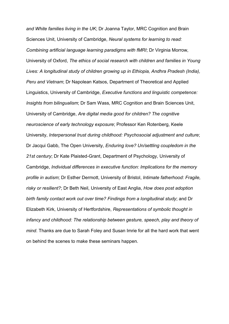*and White families living in the UK*; Dr Joanna Taylor, MRC Cognition and Brain Sciences Unit, University of Cambridge, *Neural systems for learning to read: Combining artificial language learning paradigms with fMRI*; Dr Virginia Morrow, University of Oxford, *The ethics of social research with children and families in Young Lives: A longitudinal study of children growing up in Ethiopia, Andhra Pradesh (India), Peru and Vietnam*; Dr Napolean Katsos, Department of Theoretical and Applied Linguistics, University of Cambridge, *Executive functions and linguistic competence: Insights from bilingualism*; Dr Sam Wass, MRC Cognition and Brain Sciences Unit, University of Cambridge, *Are digital media good for children? The cognitive neuroscience of early technology exposure*; Professor Ken Rotenberg, Keele University, *Interpersonal trust during childhood: Psychosocial adjustment and culture*; Dr Jacqui Gabb, The Open University, *Enduring love? Un/settling coupledom in the 21st century*; Dr Kate Plaisted-Grant, Department of Psychology, University of Cambridge, *Individual differences in executive function: Implications for the memory profile in autism*; Dr Esther Dermott, University of Bristol, *Intimate fatherhood: Fragile, risky or resilient?*; Dr Beth Neil, University of East Anglia, *How does post adoption birth family contact work out over time? Findings from a longitudinal study*; and Dr Elizabeth Kirk, University of Hertfordshire, *Representations of symbolic thought in infancy and childhood: The relationship between gesture, speech, play and theory of mind*. Thanks are due to Sarah Foley and Susan Imrie for all the hard work that went on behind the scenes to make these seminars happen.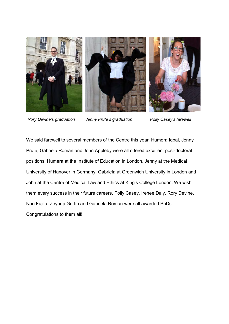

*Rory Devine's graduation Jenny Prüfe's graduation Polly Casey's farewell*

We said farewell to several members of the Centre this year. Humera Iqbal, Jenny Prüfe, Gabriela Roman and John Appleby were all offered excellent post-doctoral positions: Humera at the Institute of Education in London, Jenny at the Medical University of Hanover in Germany, Gabriela at Greenwich University in London and John at the Centre of Medical Law and Ethics at King's College London. We wish them every success in their future careers. Polly Casey, Irenee Daly, Rory Devine, Nao Fujita, Zeynep Gurtin and Gabriela Roman were all awarded PhDs. Congratulations to them all!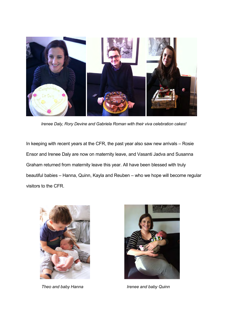

*Irenee Daly, Rory Devine and Gabriela Roman with their viva celebration cakes!* 

In keeping with recent years at the CFR, the past year also saw new arrivals – Rosie Ensor and Irenee Daly are now on maternity leave, and Vasanti Jadva and Susanna Graham returned from maternity leave this year. All have been blessed with truly beautiful babies – Hanna, Quinn, Kayla and Reuben – who we hope will become regular visitors to the CFR.





**Theo and baby Hanna** Irenee and baby Quinn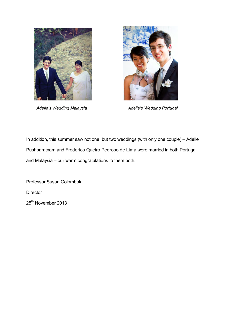



Adelle's Wedding Malaysia **Adelle's Wedding Portugal** 

In addition, this summer saw not one, but two weddings (with only one couple) – Adelle Pushparatnam and Frederico Queiró Pedroso de Lima were married in both Portugal and Malaysia – our warm congratulations to them both.

Professor Susan Golombok

**Director** 

25<sup>th</sup> November 2013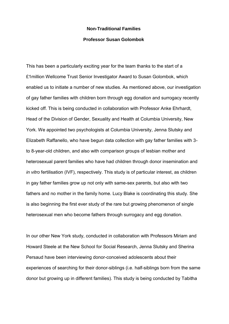## **Non-Traditional Families Professor Susan Golombok**

This has been a particularly exciting year for the team thanks to the start of a £1million Wellcome Trust Senior Investigator Award to Susan Golombok, which enabled us to initiate a number of new studies. As mentioned above, our investigation of gay father families with children born through egg donation and surrogacy recently kicked off. This is being conducted in collaboration with Professor Anke Ehrhardt, Head of the Division of Gender, Sexuality and Health at Columbia University, New York. We appointed two psychologists at Columbia University, Jenna Slutsky and Elizabeth Raffanello, who have begun data collection with gay father families with 3 to 8-year-old children, and also with comparison groups of lesbian mother and heterosexual parent families who have had children through donor insemination and *in vitro* fertilisation (IVF), respectively. This study is of particular interest, as children in gay father families grow up not only with same-sex parents, but also with two fathers and no mother in the family home. Lucy Blake is coordinating this study. She is also beginning the first ever study of the rare but growing phenomenon of single heterosexual men who become fathers through surrogacy and egg donation.

In our other New York study, conducted in collaboration with Professors Miriam and Howard Steele at the New School for Social Research, Jenna Slutsky and Sherina Persaud have been interviewing donor-conceived adolescents about their experiences of searching for their donor-siblings (i.e. half-siblings born from the same donor but growing up in different families). This study is being conducted by Tabitha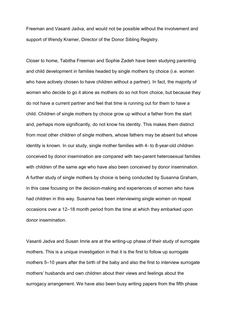Freeman and Vasanti Jadva, and would not be possible without the involvement and support of Wendy Kramer, Director of the Donor Sibling Registry.

Closer to home, Tabitha Freeman and Sophie Zadeh have been studying parenting and child development in families headed by single mothers by choice (i.e. women who have actively chosen to have children without a partner). In fact, the majority of women who decide to go it alone as mothers do so not from choice, but because they do not have a current partner and feel that time is running out for them to have a child. Children of single mothers by choice grow up without a father from the start and, perhaps more significantly, do not know his identity. This makes them distinct from most other children of single mothers, whose fathers may be absent but whose identity is known. In our study, single mother families with 4- to 8-year-old children conceived by donor insemination are compared with two-parent heterosexual families with children of the same age who have also been conceived by donor insemination. A further study of single mothers by choice is being conducted by Susanna Graham, in this case focusing on the decision-making and experiences of women who have had children in this way. Susanna has been interviewing single women on repeat occasions over a 12–18 month period from the time at which they embarked upon donor insemination.

Vasanti Jadva and Susan Imrie are at the writing-up phase of their study of surrogate mothers. This is a unique investigation in that it is the first to follow up surrogate mothers 5–10 years after the birth of the baby and also the first to interview surrogate mothers' husbands and own children about their views and feelings about the surrogacy arrangement. We have also been busy writing papers from the fifth phase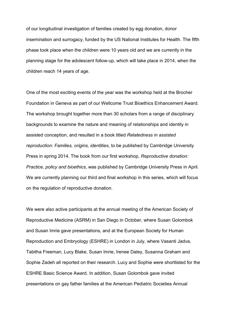of our longitudinal investigation of families created by egg donation, donor insemination and surrogacy, funded by the US National Institutes for Health. The fifth phase took place when the children were 10 years old and we are currently in the planning stage for the adolescent follow-up, which will take place in 2014, when the children reach 14 years of age.

One of the most exciting events of the year was the workshop held at the Brocher Foundation in Geneva as part of our Wellcome Trust Bioethics Enhancement Award. The workshop brought together more than 30 scholars from a range of disciplinary backgrounds to examine the nature and meaning of relationships and identity in assisted conception, and resulted in a book titled *Relatedness in assisted reproduction: Families, origins, identities*, to be published by Cambridge University Press in spring 2014. The book from our first workshop, *Reproductive donation: Practice, policy and bioethics*, was published by Cambridge University Press in April. We are currently planning our third and final workshop in this series, which will focus on the regulation of reproductive donation.

We were also active participants at the annual meeting of the American Society of Reproductive Medicine (ASRM) in San Diego in October, where Susan Golombok and Susan Imrie gave presentations, and at the European Society for Human Reproduction and Embryology (ESHRE) in London in July, where Vasanti Jadva, Tabitha Freeman, Lucy Blake, Susan Imrie, Irenee Daley, Susanna Graham and Sophie Zadeh all reported on their research. Lucy and Sophie were shortlisted for the ESHRE Basic Science Award. In addition, Susan Golombok gave invited presentations on gay father families at the American Pediatric Societies Annual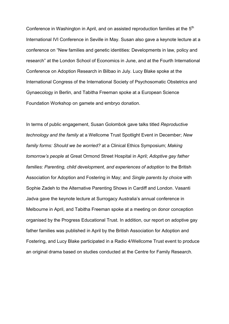Conference in Washington in April, and on assisted reproduction families at the  $5<sup>th</sup>$ International IVI Conference in Seville in May. Susan also gave a keynote lecture at a conference on "New families and genetic identities: Developments in law, policy and research" at the London School of Economics in June, and at the Fourth International Conference on Adoption Research in Bilbao in July. Lucy Blake spoke at the International Congress of the International Society of Psychosomatic Obstetrics and Gynaecology in Berlin, and Tabitha Freeman spoke at a European Science Foundation Workshop on gamete and embryo donation.

In terms of public engagement, Susan Golombok gave talks titled *Reproductive technology and the family* at a Wellcome Trust Spotlight Event in December; *New family forms: Should we be worried?* at a Clinical Ethics Symposium; *Making tomorrow's people* at Great Ormond Street Hospital in April; *Adoptive gay father families: Parenting, child development, and experiences of adoption* to the British Association for Adoption and Fostering in May; and *Single parents by choice* with Sophie Zadeh to the Alternative Parenting Shows in Cardiff and London. Vasanti Jadva gave the keynote lecture at Surrogacy Australia's annual conference in Melbourne in April, and Tabitha Freeman spoke at a meeting on donor conception organised by the Progress Educational Trust. In addition, our report on adoptive gay father families was published in April by the British Association for Adoption and Fostering, and Lucy Blake participated in a Radio 4/Wellcome Trust event to produce an original drama based on studies conducted at the Centre for Family Research.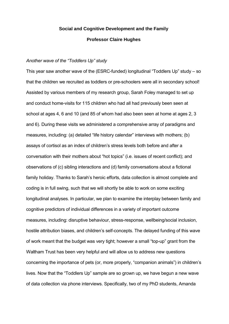## **Social and Cognitive Development and the Family Professor Claire Hughes**

#### *Another wave of the "Toddlers Up" study*

This year saw another wave of the (ESRC-funded) longitudinal "Toddlers Up" study – so that the children we recruited as toddlers or pre-schoolers were all in secondary school! Assisted by various members of my research group, Sarah Foley managed to set up and conduct home-visits for 115 children who had all had previously been seen at school at ages 4, 6 and 10 (and 85 of whom had also been seen at home at ages 2, 3 and 6). During these visits we administered a comprehensive array of paradigms and measures, including: (a) detailed "life history calendar" interviews with mothers; (b) assays of cortisol as an index of children's stress levels both before and after a conversation with their mothers about "hot topics" (i.e. issues of recent conflict); and observations of (c) sibling interactions and (d) family conversations about a fictional family holiday. Thanks to Sarah's heroic efforts, data collection is almost complete and coding is in full swing, such that we will shortly be able to work on some exciting longitudinal analyses. In particular, we plan to examine the interplay between family and cognitive predictors of individual differences in a variety of important outcome measures, including: disruptive behaviour, stress-response, wellbeing/social inclusion, hostile attribution biases, and children's self-concepts. The delayed funding of this wave of work meant that the budget was very tight; however a small "top-up" grant from the Waltham Trust has been very helpful and will allow us to address new questions concerning the importance of pets (or, more properly, "companion animals") in children's lives. Now that the "Toddlers Up" sample are so grown up, we have begun a new wave of data collection via phone interviews. Specifically, two of my PhD students, Amanda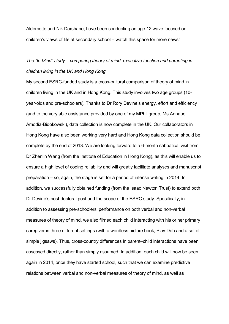Aldercotte and Nik Darshane, have been conducting an age 12 wave focused on children's views of life at secondary school – watch this space for more news!

## *The "In Mind" study – comparing theory of mind, executive function and parenting in children living in the UK and Hong Kong*

My second ESRC-funded study is a cross-cultural comparison of theory of mind in children living in the UK and in Hong Kong. This study involves two age groups (10 year-olds and pre-schoolers). Thanks to Dr Rory Devine's energy, effort and efficiency (and to the very able assistance provided by one of my MPhil group, Ms Annabel Amodia-Bidokowski), data collection is now complete in the UK. Our collaborators in Hong Kong have also been working very hard and Hong Kong data collection should be complete by the end of 2013. We are looking forward to a 6-month sabbatical visit from Dr Zhenlin Wang (from the Institute of Education in Hong Kong), as this will enable us to ensure a high level of coding reliability and will greatly facilitate analyses and manuscript preparation – so, again, the stage is set for a period of intense writing in 2014. In addition, we successfully obtained funding (from the Isaac Newton Trust) to extend both Dr Devine's post-doctoral post and the scope of the ESRC study. Specifically, in addition to assessing pre-schoolers' performance on both verbal and non-verbal measures of theory of mind, we also filmed each child interacting with his or her primary caregiver in three different settings (with a wordless picture book, Play-Doh and a set of simple jigsaws). Thus, cross-country differences in parent–child interactions have been assessed directly, rather than simply assumed. In addition, each child will now be seen again in 2014, once they have started school, such that we can examine predictive relations between verbal and non-verbal measures of theory of mind, as well as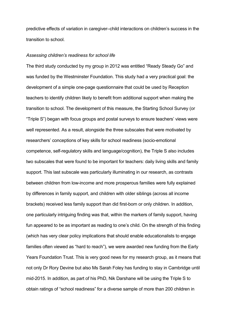predictive effects of variation in caregiver–child interactions on children's success in the transition to school.

#### *Assessing children's readiness for school life*

The third study conducted by my group in 2012 was entitled "Ready Steady Go" and was funded by the Westminster Foundation. This study had a very practical goal: the development of a simple one-page questionnaire that could be used by Reception teachers to identify children likely to benefit from additional support when making the transition to school. The development of this measure, the Starting School Survey (or "Triple S") began with focus groups and postal surveys to ensure teachers' views were well represented. As a result, alongside the three subscales that were motivated by researchers' conceptions of key skills for school readiness (socio-emotional competence, self-regulatory skills and language/cognition), the Triple S also includes two subscales that were found to be important for teachers: daily living skills and family support. This last subscale was particularly illuminating in our research, as contrasts between children from low-income and more prosperous families were fully explained by differences in family support, and children with older siblings (across all income brackets) received less family support than did first-born or only children. In addition, one particularly intriguing finding was that, within the markers of family support, having fun appeared to be as important as reading to one's child. On the strength of this finding (which has very clear policy implications that should enable educationalists to engage families often viewed as "hard to reach"), we were awarded new funding from the Early Years Foundation Trust. This is very good news for my research group, as it means that not only Dr Rory Devine but also Ms Sarah Foley has funding to stay in Cambridge until mid-2015. In addition, as part of his PhD, Nik Darshane will be using the Triple S to obtain ratings of "school readiness" for a diverse sample of more than 200 children in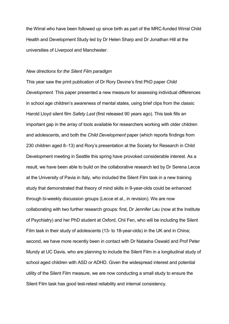the Wirral who have been followed up since birth as part of the MRC-funded Wirral Child Health and Development Study led by Dr Helen Sharp and Dr Jonathan Hill at the universities of Liverpool and Manchester.

#### *New directions for the Silent Film paradigm*

This year saw the print publication of Dr Rory Devine's first PhD paper *Child Development.* This paper presented a new measure for assessing individual differences in school age children's awareness of mental states, using brief clips from the classic Harold Lloyd silent film *Safety Last* (first released 90 years ago). This task fills an important gap in the array of tools available for researchers working with older children and adolescents, and both the *Child Development* paper (which reports findings from 230 children aged 8–13) and Rory's presentation at the Society for Research in Child Development meeting in Seattle this spring have provoked considerable interest. As a result, we have been able to build on the collaborative research led by Dr Serena Lecce at the University of Pavia in Italy, who included the Silent Film task in a new training study that demonstrated that theory of mind skills in 9-year-olds could be enhanced through bi-weekly discussion groups (Lecce et al., in revision). We are now collaborating with two further research groups: first, Dr Jennifer Lau (now at the Institute of Psychiatry) and her PhD student at Oxford, Chii Fen, who will be including the Silent Film task in their study of adolescents (13- to 18-year-olds) in the UK and in China; second, we have more recently been in contact with Dr Natasha Oswald and Prof Peter Mundy at UC Davis, who are planning to include the Silent Film in a longitudinal study of school aged children with ASD or ADHD. Given the widespread interest and potential utility of the Silent Film measure, we are now conducting a small study to ensure the Silent Film task has good test-retest reliability and internal consistency.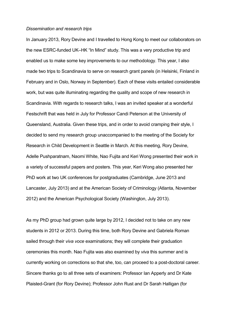#### *Dissemination and research trips*

In January 2013, Rory Devine and I travelled to Hong Kong to meet our collaborators on the new ESRC-funded UK–HK "In Mind" study. This was a very productive trip and enabled us to make some key improvements to our methodology. This year, I also made two trips to Scandinavia to serve on research grant panels (in Helsinki, Finland in February and in Oslo, Norway in September). Each of these visits entailed considerable work, but was quite illuminating regarding the quality and scope of new research in Scandinavia. With regards to research talks, I was an invited speaker at a wonderful Festschrift that was held in July for Professor Candi Peterson at the University of Queensland, Australia. Given these trips, and in order to avoid cramping their style, I decided to send my research group unaccompanied to the meeting of the Society for Research in Child Development in Seattle in March. At this meeting, Rory Devine, Adelle Pushparatnam, Naomi White, Nao Fujita and Keri Wong presented their work in a variety of successful papers and posters. This year, Keri Wong also presented her PhD work at two UK conferences for postgraduates (Cambridge, June 2013 and Lancaster, July 2013) and at the American Society of Criminology (Atlanta, November 2012) and the American Psychological Society (Washington, July 2013).

As my PhD group had grown quite large by 2012, I decided not to take on any new students in 2012 or 2013. During this time, both Rory Devine and Gabriela Roman sailed through their *viva voce* examinations; they will complete their graduation ceremonies this month. Nao Fujita was also examined by *viva* this summer and is currently working on corrections so that she, too, can proceed to a post-doctoral career. Sincere thanks go to all three sets of examiners: Professor Ian Apperly and Dr Kate Plaisted-Grant (for Rory Devine); Professor John Rust and Dr Sarah Halligan (for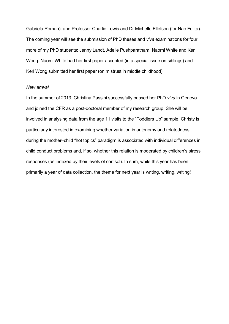Gabriela Roman); and Professor Charlie Lewis and Dr Michelle Ellefson (for Nao Fujita). The coming year will see the submission of PhD theses and *viva* examinations for four more of my PhD students: Jenny Landt, Adelle Pushparatnam, Naomi White and Keri Wong. Naomi White had her first paper accepted (in a special issue on siblings) and Keri Wong submitted her first paper (on mistrust in middle childhood).

#### *New arrival*

In the summer of 2013, Christina Passini successfully passed her PhD *viva* in Geneva and joined the CFR as a post-doctoral member of my research group. She will be involved in analysing data from the age 11 visits to the "Toddlers Up" sample. Christy is particularly interested in examining whether variation in autonomy and relatedness during the mother–child "hot topics" paradigm is associated with individual differences in child conduct problems and, if so, whether this relation is moderated by children's stress responses (as indexed by their levels of cortisol). In sum, while this year has been primarily a year of data collection, the theme for next year is writing, writing, writing!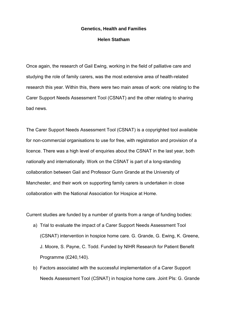## **Genetics, Health and Families Helen Statham**

Once again, the research of Gail Ewing, working in the field of palliative care and studying the role of family carers, was the most extensive area of health-related research this year. Within this, there were two main areas of work: one relating to the Carer Support Needs Assessment Tool (CSNAT) and the other relating to sharing bad news.

The Carer Support Needs Assessment Tool (CSNAT) is a copyrighted tool available for non-commercial organisations to use for free, with registration and provision of a licence. There was a high level of enquiries about the CSNAT in the last year, both nationally and internationally. Work on the CSNAT is part of a long-standing collaboration between Gail and Professor Gunn Grande at the University of Manchester, and their work on supporting family carers is undertaken in close collaboration with the National Association for Hospice at Home.

Current studies are funded by a number of grants from a range of funding bodies:

- a) Trial to evaluate the impact of a Carer Support Needs Assessment Tool (CSNAT) intervention in hospice home care. G. Grande, G. Ewing, K. Greene, J. Moore, S. Payne, C. Todd. Funded by NIHR Research for Patient Benefit Programme (£240,140).
- b) Factors associated with the successful implementation of a Carer Support Needs Assessment Tool (CSNAT) in hospice home care. Joint PIs: G. Grande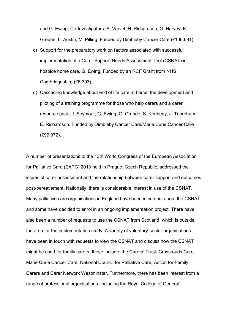and G. Ewing; Co-Investigators: S. Varvel, H. Richardson, G. Harvey, K. Greene, L. Austin, M. Pilling. Funded by Dimbleby Cancer Care (£106,691).

- c) Support for the preparatory work on factors associated with successful implementation of a Carer Support Needs Assessment Tool (CSNAT) in hospice home care. G. Ewing. Funded by an RCF Grant from NHS Cambridgeshire (£6,393).
- d) Cascading knowledge about end of life care at home: the development and piloting of a training programme for those who help carers and a carer resource pack. J. Seymour; G. Ewing; G. Grande; S. Kennedy; J. Tabreham; E. Richardson. Funded by Dimbleby Cancer Care/Marie Curie Cancer Care (£99,972).

A number of presentations to the 13th World Congress of the European Association for Palliative Care (EAPC) 2013 held in Prague, Czech Republic, addressed the issues of carer assessment and the relationship between carer support and outcomes post-bereavement. Nationally, there is considerable interest in use of the CSNAT. Many palliative care organisations in England have been in contact about the CSNAT and some have decided to enrol in an ongoing implementation project. There have also been a number of requests to use the CSNAT from Scotland, which is outside the area for the implementation study. A variety of voluntary-sector organisations have been in touch with requests to view the CSNAT and discuss how the CSNAT might be used for family carers; these include: the Carers' Trust, Crossroads Care, Marie Curie Cancer Care, National Council for Palliative Care, Action for Family Carers and Carer Network Westminster. Furthermore, there has been interest from a range of professional organisations, including the Royal College of General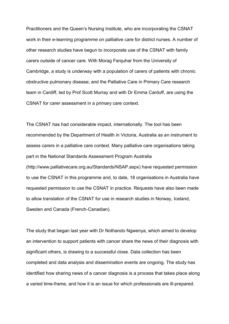Practitioners and the Queen's Nursing Institute, who are incorporating the CSNAT work in their e-learning programme on palliative care for district nurses. A number of other research studies have begun to incorporate use of the CSNAT with family carers outside of cancer care. With Morag Farquhar from the University of Cambridge, a study is underway with a population of carers of patients with chronic obstructive pulmonary disease; and the Palliative Care in Primary Care research team in Cardiff, led by Prof Scott Murray and with Dr Emma Carduff, are using the CSNAT for carer assessment in a primary care context.

The CSNAT has had considerable impact, internationally. The tool has been recommended by the Department of Health in Victoria, Australia as an instrument to assess carers in a palliative care context. Many palliative care organisations taking part in the National Standards Assessment Program Australia (http://www.palliativecare.org.au/Standards/NSAP.aspx) have requested permission to use the CSNAT in this programme and, to date, 18 organisations in Australia have requested permission to use the CSNAT in practice. Requests have also been made to allow translation of the CSNAT for use in research studies in Norway, Iceland, Sweden and Canada (French-Canadian).

The study that began last year with Dr Nothando Ngwenya, which aimed to develop an intervention to support patients with cancer share the news of their diagnosis with significant others, is drawing to a successful close. Data collection has been completed and data analysis and dissemination events are ongoing. The study has identified how sharing news of a cancer diagnosis is a process that takes place along a varied time-frame, and how it is an issue for which professionals are ill-prepared.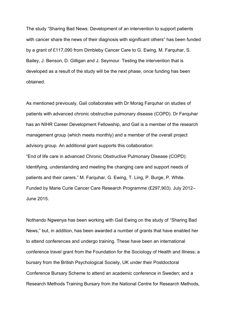The study "Sharing Bad News: Development of an intervention to support patients with cancer share the news of their diagnosis with significant others" has been funded by a grant of £117,090 from Dimbleby Cancer Care to G. Ewing, M. Farquhar, S. Bailey, J. Benson, D. Gilligan and J. Seymour. Testing the intervention that is developed as a result of the study will be the next phase, once funding has been obtained.

As mentioned previously, Gail collaborates with Dr Morag Farquhar on studies of patients with advanced chronic obstructive pulmonary disease (COPD). Dr Farquhar has an NIHR Career Development Fellowship, and Gail is a member of the research management group (which meets monthly) and a member of the overall project advisory group. An additional grant supports this collaboration: "End of life care in advanced Chronic Obstructive Pulmonary Disease (COPD): Identifying, understanding and meeting the changing care and support needs of patients and their carers." M. Farquhar, G. Ewing, T. Ling, P. Burge, P. White. Funded by Marie Curie Cancer Care Research Programme (£297,903). July 2012– June 2015.

Nothando Ngwenya has been working with Gail Ewing on the study of "Sharing Bad News," but, in addition, has been awarded a number of grants that have enabled her to attend conferences and undergo training. These have been an international conference travel grant from the Foundation for the Sociology of Health and Illness; a bursary from the British Psychological Society, UK under their Postdoctoral Conference Bursary Scheme to attend an academic conference in Sweden; and a Research Methods Training Bursary from the National Centre for Research Methods,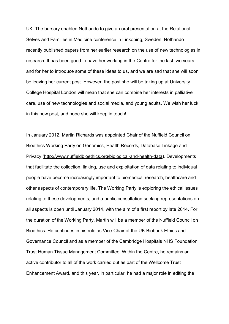UK. The bursary enabled Nothando to give an oral presentation at the Relational Selves and Families in Medicine conference in Linkoping, Sweden. Nothando recently published papers from her earlier research on the use of new technologies in research. It has been good to have her working in the Centre for the last two years and for her to introduce some of these ideas to us, and we are sad that she will soon be leaving her current post. However, the post she will be taking up at University College Hospital London will mean that she can combine her interests in palliative care, use of new technologies and social media, and young adults. We wish her luck in this new post, and hope she will keep in touch!

In January 2012, Martin Richards was appointed Chair of the Nuffield Council on Bioethics Working Party on Genomics, Health Records, Database Linkage and Privacy [\(http://www.nuffieldbioethics.org/biological-and-health-data\)](http://www.nuffieldbioethics.org/biological-and-health-data). Developments that facilitate the collection, linking, use and exploitation of data relating to individual people have become increasingly important to biomedical research, healthcare and other aspects of contemporary life. The Working Party is exploring the ethical issues relating to these developments, and a public consultation seeking representations on all aspects is open until January 2014, with the aim of a first report by late 2014. For the duration of the Working Party, Martin will be a member of the Nuffield Council on Bioethics. He continues in his role as Vice-Chair of the UK Biobank Ethics and Governance Council and as a member of the Cambridge Hospitals NHS Foundation Trust Human Tissue Management Committee. Within the Centre, he remains an active contributor to all of the work carried out as part of the Wellcome Trust Enhancement Award, and this year, in particular, he had a major role in editing the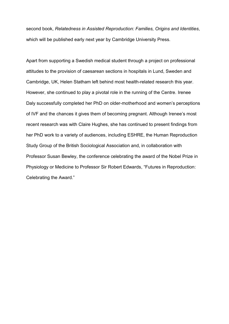second book, *Relatedness in Assisted Reproduction: Families, Origins and Identities*, which will be published early next year by Cambridge University Press.

Apart from supporting a Swedish medical student through a project on professional attitudes to the provision of caesarean sections in hospitals in Lund, Sweden and Cambridge, UK, Helen Statham left behind most health-related research this year. However, she continued to play a pivotal role in the running of the Centre. Irenee Daly successfully completed her PhD on older-motherhood and women's perceptions of IVF and the chances it gives them of becoming pregnant. Although Irenee's most recent research was with Claire Hughes, she has continued to present findings from her PhD work to a variety of audiences, including ESHRE, the Human Reproduction Study Group of the British Sociological Association and, in collaboration with Professor Susan Bewley, the conference celebrating the award of the Nobel Prize in Physiology or Medicine to Professor Sir Robert Edwards, "Futures in Reproduction: Celebrating the Award."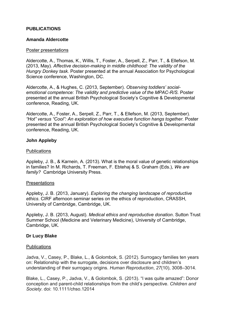## **PUBLICATIONS**

#### **Amanda Aldercotte**

#### Poster presentations

Aldercotte, A., Thomas, K., Willis, T., Foster, A., Serpell, Z., Parr, T., & Ellefson, M. (2013, May). *Affective decision-making in middle childhood: The validity of the Hungry Donkey task.* Poster presented at the annual Association for Psychological Science conference, Washington, DC.

Aldercotte, A., & Hughes, C. (2013, September). *Observing toddlers' socialemotional competence: The validity and predictive value of the MPAC-R/S.* Poster presented at the annual British Psychological Society's Cognitive & Developmental conference, Reading, UK.

Aldercotte, A., Foster, A., Serpell, Z., Parr, T., & Ellefson, M. (2013, September). *"Hot" versus "Cool": An exploration of how executive function hangs together.* Poster presented at the annual British Psychological Society's Cognitive & Developmental conference, Reading, UK.

#### **John Appleby**

#### **Publications**

Appleby, J. B., & Karnein, A. (2013). What is the moral value of genetic relationships in families? In M. Richards, T. Freeman, F. Ebtehaj & S. Graham (Eds.), *We are family?* Cambridge University Press.

#### **Presentations**

Appleby, J. B. (2013, January). *Exploring the changing landscape of reproductive ethics*. CIRF afternoon seminar series on the ethics of reproduction, CRASSH, University of Cambridge, Cambridge, UK.

Appleby, J. B. (2013, August). *Medical ethics and reproductive donation*. Sutton Trust Summer School (Medicine and Veterinary Medicine), University of Cambridge, Cambridge, UK.

## **Dr Lucy Blake**

#### **Publications**

Jadva, V., Casey, P., Blake, L., & Golombok, S. (2012). Surrogacy families ten years on: Relationship with the surrogate, decisions over disclosure and children's understanding of their surrogacy origins. *Human Reproduction*, *27*(10), 3008–3014.

Blake, L., Casey, P., Jadva, V., & Golombok, S. (2013). "I was quite amazed": Donor conception and parent-child relationships from the child's perspective. *Children and Society*. doi: 10.1111/chso.12014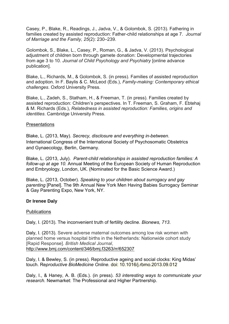Casey, P., Blake, R., Readings, J., Jadva, V., & Golombok, S. (2013). Fathering in families created by assisted reproduction: Father-child relationships at age 7. *Journal of Marriage and the Family, 25*(2): 230–239.

Golombok, S., Blake, L., Casey, P., Roman, G., & Jadva, V. (2013). Psychological adjustment of children born through gamete donation: Developmental trajectories from age 3 to 10. *Journal of Child Psychology and Psychiatry* [online advance publication].

Blake, L., Richards, M., & Golombok, S. (in press). Families of assisted reproduction and adoption. In F. Baylis & C. McLeod (Eds.), *Family-making: Contemporary ethical challenges*. Oxford University Press.

Blake, L., Zadeh, S., Statham, H., & Freeman, T. (in press). Families created by assisted reproduction: Children's perspectives. In T. Freeman, S. Graham, F. Ebtehaj & M. Richards (Eds.), *Relatedness in assisted reproduction: Families, origins and identities*. Cambridge University Press.

## **Presentations**

Blake, L. (2013, May). *Secrecy, disclosure and everything in-between*. International Congress of the International Society of Psychosomatic Obstetrics and Gynaecology, Berlin, Germany.

Blake, L. (2013, July). *Parent-child relationships in assisted reproduction families: A follow-up at age 10.* Annual Meeting of the European Society of Human Reproduction and Embryology, London, UK. (Nominated for the Basic Science Award.)

Blake, L. (2013, October). *Speaking to your children about surrogacy and gay parenting* [Panel]. The 9th Annual New York Men Having Babies Surrogacy Seminar & Gay Parenting Expo, New York, NY.

## **Dr Irenee Daly**

#### Publications

Daly, I. (2013). The inconvenient truth of fertility decline. *Bionews, 713*.

Daly, I. (2013). Severe adverse maternal outcomes among low risk women with planned home versus hospital births in the Netherlands: Nationwide cohort study [Rapid Response]. *British Medical Journal*, <http://www.bmj.com/content/346/bmj.f3263/rr/652307>

Daly, I. & Bewley, S. (in press). Reproductive ageing and social clocks: King Midas' touch. Re*productive BioMedicine Online.* doi: 10.1016/j.rbmo.2013.09.012

Daly, I., & Haney, A. B. (Eds.). (in press). *53 interesting ways to communicate your research.* Newmarket: The Professional and Higher Partnership.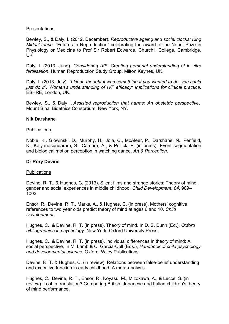## **Presentations**

Bewley, S., & Daly, I. (2012, December). *Reproductive ageing and social clocks: King Midas' touch*. "Futures in Reproduction" celebrating the award of the Nobel Prize in Physiology or Medicine to Prof Sir Robert Edwards, Churchill College, Cambridge, UK

Daly, I. (2013, June). *Considering IVF: Creating personal understanding of in vitro fertilisation*. Human Reproduction Study Group, Milton Keynes, UK.

Daly, I. (2013, July). *"I kinda thought it was something if you wanted to do, you could just do it": Women's understanding of IVF efficacy: Implications for clinical practice.* ESHRE, London, UK.

Bewley, S., & Daly I. *Assisted reproduction that harms: An obstetric perspective*. Mount Sinai Bioethics Consortium, New York, NY.

## **Nik Darshane**

## **Publications**

Noble, K., Glowinski, D., Murphy, H., Jola, C., McAleer, P., Darshane, N., Penfield, K., Kalyanasundaram, S., Camurri, A., & Pollick, F. (in press). Event segmentation and biological motion perception in watching dance. *Art & Perception*.

## **Dr Rory Devine**

## **Publications**

Devine, R. T., & Hughes, C. (2013). Silent films and strange stories: Theory of mind, gender and social experiences in middle childhood. *Child Development*, *84*, 989– 1003.

Ensor, R., Devine, R. T., Marks, A., & Hughes, C. (in press). Mothers' cognitive references to two year olds predict theory of mind at ages 6 and 10. *Child Development.* 

Hughes, C., & Devine, R. T. (in press). Theory of mind. In D. S. Dunn (Ed.), *Oxford bibliographies in psychology.* New York: Oxford University Press.

Hughes, C., & Devine, R. T. (in press). Individual differences in theory of mind: A social perspective. In M. Lamb & C. Garcia-Coll (Eds.), *Handbook of child psychology and developmental science.* Oxford: Wiley Publications.

Devine, R. T. & Hughes, C. (in review). Relations between false-belief understanding and executive function in early childhood: A meta-analysis.

Hughes, C., Devine, R. T., Ensor, R., Koyasu, M., Mizokawa, A., & Lecce, S. (in review). Lost in translation? Comparing British, Japanese and Italian children's theory of mind performance.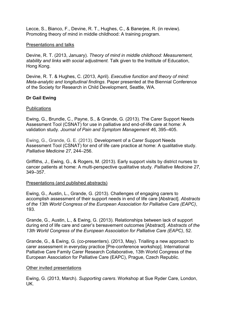Lecce, S., Bianco, F., Devine, R. T., Hughes, C., & Banerjee, R. (in review). Promoting theory of mind in middle childhood: A training program.

#### Presentations and talks

Devine, R. T. (2013, January). *Theory of mind in middle childhood: Measurement, stability and links with social adjustment.* Talk given to the Institute of Education, Hong Kong.

Devine, R. T. & Hughes, C. (2013, April). *Executive function and theory of mind: Meta-analytic and longitudinal findings*. Paper presented at the Biennial Conference of the Society for Research in Child Development, Seattle, WA.

## **Dr Gail Ewing**

## **Publications**

Ewing, G., Brundle, C., Payne, S., & Grande, G. (2013). The Carer Support Needs Assessment Tool (CSNAT) for use in palliative and end-of-life care at home: A validation study. *Journal of Pain and Symptom Management 46*, 395–405.

Ewing, G., Grande, G. E. (2013). Development of a Carer Support Needs Assessment Tool (CSNAT) for end of life care practice at home: A qualitative study. *Palliative Medicine 27*, 244–256.

Griffiths, J., Ewing, G., & Rogers, M. (2013). Early support visits by district nurses to cancer patients at home: A multi-perspective qualitative study. *Palliative Medicine 27*, 349–357.

#### Presentations (and published abstracts)

Ewing, G., Austin, L., Grande, G. (2013). Challenges of engaging carers to accomplish assessment of their support needs in end of life care [Abstract]. *Abstracts of the 13th World Congress of the European Association for Palliative Care (EAPC)*, 193.

Grande, G., Austin, L., & Ewing, G. (2013). Relationships between lack of support during end of life care and carer's bereavement outcomes [Abstract]. *Abstracts of the 13th World Congress of the European Association for Palliative Care (EAPC)*, 52.

Grande, G., & Ewing, G. (co-presenters). (2013, May). Trialling a new approach to carer assessment in everyday practice [Pre-conference workshop]. International Palliative Care Family Carer Research Collaborative, 13th World Congress of the European Association for Palliative Care (EAPC), Prague, Czech Republic.

## Other invited presentations

Ewing, G. (2013, March). *Supporting carers*. Workshop at Sue Ryder Care, London, UK.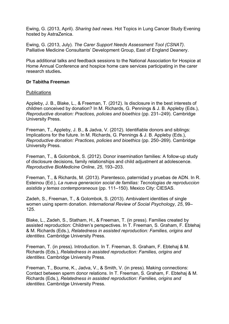Ewing, G. (2013, April). *Sharing bad news*. Hot Topics in Lung Cancer Study Evening hosted by AstraZenica.

Ewing, G. (2013, July). *The Carer Support Needs Assessment Tool (CSNAT)*. Palliative Medicine Consultants' Development Group, East of England Deanery.

Plus additional talks and feedback sessions to the National Association for Hospice at Home Annual Conference and hospice home care services participating in the carer research studies**.** 

## **Dr Tabitha Freeman**

#### **Publications**

Appleby, J. B., Blake, L., & Freeman, T. (2012). Is disclosure in the best interests of children conceived by donation? In M. Richards, G. Pennings & J. B. Appleby (Eds.), *Reproductive donation: Practices, policies and bioethics* (pp. 231–249). Cambridge University Press.

Freeman, T., Appleby, J. B., & Jadva, V. (2012). Identifiable donors and siblings: Implications for the future. In M. Richards, G. Pennings & J. B. Appleby (Eds.), *Reproductive donation: Practices, policies and bioethics* (pp. 250–269). Cambridge University Press.

Freeman, T., & Golombok, S. (2012). Donor insemination families: A follow-up study of disclosure decisions, family relationships and child adjustment at adolescence. *Reproductive BioMedicine Online*, *25*, 193–203.

Freeman, T., & Richards, M. (2013). Parentesco, paternidad y pruebas de ADN. In R. Esteinou (Ed.), *La nueva generacion social de familias: Tecnologias de reproduccion asistida y temas contemporaneous* (pp. 111–150). Mexico City: CIESAS.

Zadeh, S., Freeman, T., & Golombok, S. (2013). Ambivalent identities of single women using sperm donation. *International Review of Social Psychology*, *25*, 99– 125.

Blake, L., Zadeh, S., Statham, H., & Freeman, T. (in press). Families created by assisted reproduction: Children's perspectives. In T. Freeman, S. Graham, F. Ebtehaj & M. Richards (Eds.), *Relatedness in assisted reproduction: Families, origins and identities*. Cambridge University Press.

Freeman, T. (in press). Introduction. In T. Freeman, S. Graham, F. Ebtehaj & M. Richards (Eds.), *Relatedness in assisted reproduction: Families, origins and identities*. Cambridge University Press.

Freeman, T., Bourne, K., Jadva, V., & Smith, V. (in press). Making connections: Contact between sperm donor relations. In T. Freeman, S. Graham, F. Ebtehaj & M. Richards (Eds.), *Relatedness in assisted reproduction: Families, origins and identities*. Cambridge University Press.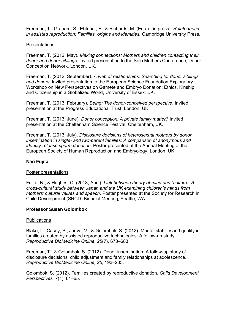Freeman, T., Graham, S., Ebtehaj, F., & Richards, M. (Eds.). (in press). *Relatedness in assisted reproduction: Families, origins and identities.* Cambridge University Press.

#### Presentations

Freeman, T. (2012, May). *Making connections: Mothers and children contacting their donor and donor siblings*. Invited presentation to the Solo Mothers Conference, Donor Conception Network, London, UK.

Freeman, T. (2012, September). *A web of relationships: Searching for donor siblings and donors.* Invited presentation to the European Science Foundation Exploratory Workshop on New Perspectives on Gamete and Embryo Donation: Ethics, Kinship and Citizenship in a Globalized World, University of Essex, UK.

Freeman, T. (2013, February). *Being: The donor-conceived perspective*. Invited presentation at the Progress Educational Trust, London, UK.

Freeman, T. (2013, June). *Donor conception: A private family matter?* Invited presentation at the Cheltenham Science Festival, Cheltenham, UK.

Freeman, T. (2013, July). *Disclosure decisions of heterosexual mothers by donor insemination in single- and two-parent families: A comparison of anonymous and identity-release sperm donation*. Poster presented at the Annual Meeting of the European Society of Human Reproduction and Embryology, London, UK.

#### **Nao Fujita**

#### Poster presentations

Fujita, N., & Hughes, C. (2013, April). *Link between theory of mind and "culture." A cross-cultural study between Japan and the UK examining children's minds from mothers' cultural values and speech.* Poster presented at the Society for Research in Child Development (SRCD) Biennial Meeting, Seattle, WA.

## **Professor Susan Golombok**

#### Publications

Blake, L., Casey, P., Jadva, V., & Golombok, S. (2012). Marital stability and quality in families created by assisted reproductive technologies: A follow-up study. *Reproductive BioMedicine Online, 25*(7), 678–683.

Freeman, T., & Golombok, S. (2012). Donor insemination: A follow-up study of disclosure decisions, child adjustment and family relationships at adolescence. *Reproductive BioMedicine Online, 25*, 193–203.

Golombok, S. (2012). Families created by reproductive donation. *Child Development Perspectives, 7*(1), 61–65.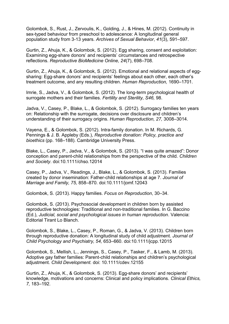Golombok, S., Rust, J., Zervoulis, K., Golding, J., & Hines, M. (2012). Continuity in sex-typed behaviour from preschool to adolescence: A longitudinal general population study from 3-13 years. *Archives of Sexual Behavior*, *41*(3), 591–597.

Gurtin, Z., Ahuja, K., & Golombok, S. (2012). Egg sharing, consent and exploitation: Examining egg-share donors' and recipients' circumstances and retrospective reflections. *Reproductive BioMedicine Online, 24*(7), 698–708.

Gurtin, Z., Ahuja, K., & Golombok, S. (2012). Emotional and relational aspects of eggsharing: Egg-share donors' and recipients' feelings about each other, each other's treatment outcome, and any resulting children. *Human Reproduction,* 1690–1701.

Imrie, S., Jadva, V., & Golombok, S. (2012). The long-term psychological health of surrogate mothers and their families. *Fertility and Sterility, S46,* 98.

Jadva, V., Casey, P., Blake, L., & Golombok, S. (2012). Surrogacy families ten years on: Relationship with the surrogate, decisions over disclosure and children's understanding of their surrogacy origins. *Human Reproduction, 27,* 3008–3014.

Vayena, E., & Golombok, S. (2012). Intra-family donation. In M. Richards, G. Pennings & J. B. Appleby (Eds.), *Reproductive donation: Policy, practice and bioethics* (pp. 168–188). Cambridge University Press.

Blake, L., Casey, P., Jadva, V., & Golombok, S. (2013). "I was quite amazed": Donor conception and parent-child relationships from the perspective of the child. *Children and Society*. doi:10.1111/chso.12014

Casey, P., Jadva, V., Readings, J., Blake, L., & Golombok, S. (2013). Families created by donor insemination: Father-child relationships at age 7. *Journal of Marriage and Family, 75,* 858–870. doi:10.1111/jomf.12043

Golombok, S. (2013). Happy families. *Focus on Reproduction*, 30–34.

Golombok, S. (2013). Psychosocial development in children born by assisted reproductive technologies: Traditional and non-traditional families. In G. Baccino (Ed.), *Judicial, social and psychological issues in human reproduction*. Valencia: Editorial Tirant Lo Blanch.

Golombok, S., Blake, L., Casey, P., Roman, G., & Jadva, V. (2013). Children born through reproductive donation: A longitudinal study of child adjustment. *Journal of Child Psychology and Psychiatry, 54,* 653–660. doi:10.1111/jcpp.12015

Golombok, S., Mellish, L., Jennings, S., Casey, P., Tasker, F., & Lamb, M. (2013). Adoptive gay father families: Parent-child relationships and children's psychological adjustment. *Child Development.* doi: 10.1111/cdev.12155

Gurtin, Z., Ahuja, K., & Golombok, S. (2013). Egg-share donors' and recipients' knowledge, motivations and concerns: Clinical and policy implications. *Clinical Ethics, 7,* 183–192.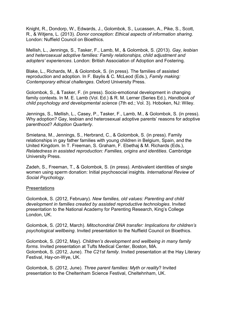Knight, R., Dondorp, W., Edwards, J., Golombok, S., Lucassen, A., Pike, S., Scott, R., & Witjens, L. (2013). *Donor conception: Ethical aspects of information sharing*. London: Nuffield Council on Bioethics.

Mellish, L., Jennings, S., Tasker, F., Lamb, M., & Golombok, S. (2013). *Gay, lesbian and heterosexual adoptive families: Family relationships, child adjustment and adopters' experiences*. London: British Association of Adoption and Fostering.

Blake, L., Richards, M., & Golombok, S. (in press). The families of assisted reproduction and adoption. In F. Baylis & C. McLeod (Eds.), *Family making: Contemporary ethical challenges*. Oxford University Press.

Golombok, S., & Tasker, F. (in press). Socio-emotional development in changing family contexts. In M. E. Lamb (Vol. Ed.) & R. M. Lerner (Series Ed.), *Handbook of child psychology and developmental science* (7th ed.; Vol. 3). Hoboken, NJ: Wiley.

Jennings, S., Mellish, L., Casey, P., Tasker, F., Lamb, M., & Golombok, S. (in press). Why adoption? Gay, lesbian and heterosexual adoptive parents' reasons for adoptive parenthood? *Adoption Quarterly*.

Smietana, M., Jennings, S., Herbrand, C., & Golombok, S. (in press). Family relationships in gay father families with young children in Belgium, Spain, and the United Kingdom. In T. Freeman, S. Graham, F. Ebethaj & M. Richards (Eds.), *Relatedness in assisted reproduction: Families, origins and identities*. Cambridge University Press.

Zadeh, S., Freeman, T., & Golombok, S. (in press). Ambivalent identities of single women using sperm donation: Initial psychosocial insights. *International Review of Social Psychology*.

#### Presentations

Golombok, S. (2012, February). *New families, old values: Parenting and child development in families created by assisted reproductive technologies*. Invited presentation to the National Academy for Parenting Research, King's College London, UK.

Golombok, S. (2012, March). *Mitochondrial DNA transfer: Implications for children's psychological wellbeing*. Invited presentation to the Nuffield Council on Bioethics.

Golombok, S. (2012, May). *Children's development and wellbeing in many family forms*. Invited presentation at Tufts Medical Center, Boston, MA. Golombok, S. (2012, June). *The C21st family*. Invited presentation at the Hay Literary Festival, Hay-on-Wye, UK.

Golombok, S. (2012, June). *Three parent families: Myth or reality*? Invited presentation to the Cheltenham Science Festival, Cheltehnham, UK.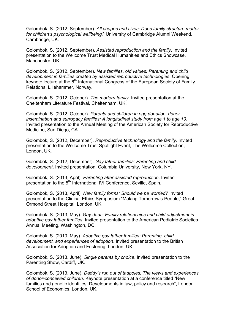Golombok, S. (2012, September). *All shapes and sizes: Does family structure matter for children's psychological wellbeing?* University of Cambridge Alumni Weekend, Cambridge, UK.

Golombok, S. (2012, September). *Assisted reproduction and the family*. Invited presentation to the Wellcome Trust Medical Humanities and Ethics Showcase, Manchester, UK.

Golombok, S. (2012, September). *New families, old values: Parenting and child development in families created by assisted reproductive technologies*. Opening keynote lecture at the 6<sup>th</sup> International Congress of the European Society of Family Relations, Lillehammer, Norway.

Golombok, S. (2012, October). *The modern family*. Invited presentation at the Cheltenham Literature Festival, Cheltenham, UK.

Golombok, S. (2012, October). *Parents and children in egg donation, donor insemination and surrogacy families: A longitudinal study from age 1 to age 10*. Invited presentation to the Annual Meeting of the American Society for Reproductive Medicine, San Diego, CA.

Golombok, S. (2012, December). *Reproductive technology and the family*. Invited presentation to the Wellcome Trust Spotlight Event, The Wellcome Collection, London, UK.

Golombok, S. (2012, December). *Gay father families: Parenting and child development*. Invited presentation, Columbia University, New York, NY.

Golombok, S. (2013, April). *Parenting after assisted reproduction*. Invited presentation to the 5<sup>th</sup> International IVI Conference, Seville, Spain.

Golombok, S. (2013, April). *New family forms: Should we be worried?* Invited presentation to the Clinical Ethics Symposium "Making Tomorrow's People," Great Ormond Street Hospital, London, UK.

Golombok, S. (2013, May). *Gay dads: Family relationships and child adjustment in adoptive gay father families*. Invited presentation to the American Pediatric Societies Annual Meeting, Washington, DC.

Golombok, S. (2013, May). *Adoptive gay father families: Parenting, child development, and experiences of adoption*. Invited presentation to the British Association for Adoption and Fostering, London, UK.

Golombok, S. (2013, June). *Single parents by choice*. Invited presentation to the Parenting Show, Cardiff, UK.

Golombok, S. (2013, June). *Daddy's run out of tadpoles: The views and experiences of donor-conceived children*. Keynote presentation at a conference titled "New families and genetic identities: Developments in law, policy and research", London School of Economics, London, UK.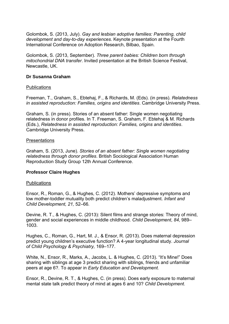Golombok, S. (2013, July). *Gay and lesbian adoptive families: Parenting, child development and day-to-day experiences*. Keynote presentation at the Fourth International Conference on Adoption Research, Bilbao, Spain.

Golombok, S. (2013, September). *Three parent babies: Children born through mitochondrial DNA transfer*. Invited presentation at the British Science Festival, Newcastle, UK.

#### **Dr Susanna Graham**

#### **Publications**

Freeman, T., Graham, S., Ebtehaj, F., & Richards, M. (Eds). (in press). *Relatedness in assisted reproduction: Families, origins and identities*. Cambridge University Press.

Graham, S. (in press). Stories of an absent father: Single women negotiating relatedness in donor profiles. In T. Freeman, S. Graham, F. Ebtehaj & M. Richards (Eds.), *Relatedness in assisted reproduction: Families, origins and identities*. Cambridge University Press.

#### Presentations

Graham, S. (2013, June). *Stories of an absent father: Single women negotiating relatedness through donor profiles*. British Sociological Association Human Reproduction Study Group 12th Annual Conference.

#### **Professor Claire Hughes**

#### **Publications**

Ensor, R., Roman, G., & Hughes, C. (2012). Mothers' depressive symptoms and low mother-toddler mutuality both predict children's maladjustment. *Infant and Child Development, 21,* 52–66*.* 

Devine, R. T., & Hughes, C. (2013): Silent films and strange stories: Theory of mind, gender and social experiences in middle childhood. *Child Development*, *84,* 989– 1003.

Hughes, C., Roman, G., Hart, M. J., & Ensor, R. (2013). Does maternal depression predict young children's executive function? A 4-year longitudinal study. *Journal of Child Psychology & Psychiatry,* 169–177.

White, N., Ensor, R., Marks, A., Jacobs, L. & Hughes, C. (2013). "It's Mine!" Does sharing with siblings at age 3 predict sharing with siblings, friends and unfamiliar peers at age 6?. To appear in *Early Education and Development.*

Ensor, R., Devine, R. T., & Hughes, C. (in press). Does early exposure to maternal mental state talk predict theory of mind at ages 6 and 10? *Child Development.*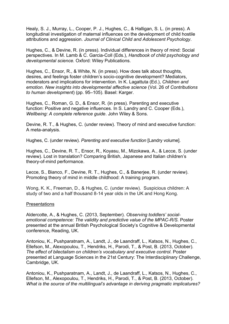Healy, S. J., Murray, L., Cooper, P. J., Hughes, C., & Halligan, S. L. (in press). A longitudinal investigation of maternal influences on the development of child hostile attributions and aggression. *Journal of Clinical Child and Adolescent Psychology*.

Hughes, C., & Devine, R. (in press). Individual differences in theory of mind: Social perspectives. In M. Lamb & C. Garcia-Coll (Eds.), *Handbook of child psychology and developmental science.* Oxford: Wiley Publications.

Hughes, C., Ensor, R., & White, N. (in press). How does talk about thoughts, desires, and feelings foster children's socio-cognitive development? Mediators, moderators and implications for intervention. In K. Lagattuta (Ed.), *Children and emotion. New insights into developmental affective science* (Vol. 26 of *Contributions to human development*) (pp. 95–105). Basel: Karger.

Hughes, C., Roman, G. D., & Ensor, R. (in press). Parenting and executive function: Positive and negative influences. In S. Landry and C. Cooper (Eds.), *Wellbeing: A complete reference guide*. John Wiley & Sons.

Devine, R. T., & Hughes, C. (under review). Theory of mind and executive function: A meta-analysis.

Hughes, C. (under review). *Parenting and executive function* [Landry volume].

Hughes, C., Devine, R. T., Ensor, R., Koyasu, M., Mizokawa, A., & Lecce, S. (under review). Lost in translation? Comparing British, Japanese and Italian children's theory-of-mind performance.

Lecce, S., Bianco, F., Devine, R. T., Hughes, C., & Banerjee, R. (under review). Promoting theory of mind in middle childhood: A training program.

Wong, K. K., Freeman, D., & Hughes, C. (under review). Suspicious children: A study of two and a half thousand 8-14 year olds in the UK and Hong Kong.

#### **Presentations**

Aldercotte, A., & Hughes, C. (2013, September). *Observing toddlers' socialemotional competence: The validity and predictive value of the MPAC-R/S.* Poster presented at the annual British Psychological Society's Cognitive & Developmental conference, Reading, UK.

Antoniou, K., Pushparatnam, A., Landt, J., de Laandraff, L., Katsos, N., Hughes, C., Ellefson, M., Alexopoulou, T., Hendriks, H., Parodi, T., & Post, B. (2013, October). *The effect of bilectalism on children's vocabulary and executive control*. Poster presented at Language Sciences in the 21st Century: The Interdisciplinary Challenge, Cambridge, UK.

Antoniou, K., Pushparatnam, A., Landt, J., de Laandraff, L., Katsos, N., Hughes, C., Ellefson, M., Alexopoulou, T., Hendriks, H., Parodi, T., & Post, B. (2013, October). *What is the source of the multilingual's advantage in deriving pragmatic implicatures?*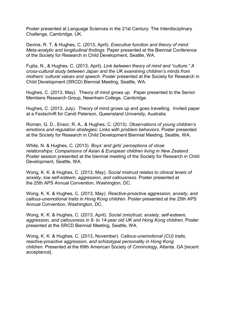Poster presented at Language Sciences in the 21st Century: The Interdisciplinary Challenge, Cambridge, UK.

Devine, R. T. & Hughes, C. (2013, April). *Executive function and theory of mind: Meta-analytic and longitudinal findings*. Paper presented at the Biennial Conference of the Society for Research in Child Development, Seattle, WA.

Fujita, N., & Hughes, C. (2013, April). *Link between theory of mind and "culture." A cross-cultural study between Japan and the UK examining children's minds from mothers' cultural values and speech.* Poster presented at the Society for Research in Child Development (SRCD) Biennial Meeting, Seattle, WA.

Hughes, C. (2013, May). Theory of mind grows up. Paper presented to the Senior Members Research Group, Newnham College, Cambridge.

Hughes, C. (2013, July). Theory of mind grows up and goes travelling. Invited paper at a Festschrift for Candi Peterson, Queensland University, Australia.

Roman, G. D., Ensor, R. A., & Hughes, C. (2013). *Observations of young children's emotions and regulation strategies: Links with problem behaviors*. Poster presented at the Society for Research in Child Development Biennial Meeting, Seattle, WA.

White, N. & Hughes, C. (2013). *Boys' and girls' perceptions of close relationships: Comparisons of Asian & European children living in New Zealand*. Poster session presented at the biennial meeting of the Society for Research in Child Development, Seattle, WA.

Wong, K. K. & Hughes, C. (2013, May). *Social mistrust relates to clinical levels of anxiety, low self-esteem, aggression, and callousness*. Poster presented at the 25th APS Annual Convention, Washington, DC.

Wong, K. K. & Hughes, C. (2013, May). *Reactive-proactive aggression, anxiety, and callous-unemotional traits in Hong Kong children*. Poster presented at the 25th APS Annual Convention, Washington, DC.

Wong, K. K. & Hughes, C. (2013, April). *Social (mis)trust, anxiety, self-esteem, aggression, and callousness in 8- to 14-year old UK and Hong Kong children*. Poster presented at the SRCD Biennial Meeting, Seattle, WA.

Wong, K. K. & Hughes, C. (2013, November). *Callous-unemotional (CU) traits, reactive-proactive aggression, and schizotypal personality in Hong Kong children*. Presented at the 69th American Society of Criminology, Atlanta, GA [recent acceptance].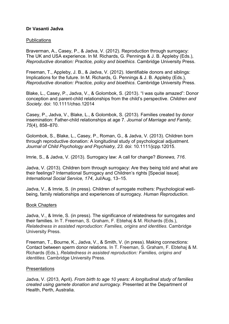## **Dr Vasanti Jadva**

## **Publications**

Braverman, A., Casey, P., & Jadva, V. (2012). Reproduction through surrogacy: The UK and USA experience. In M. Richards, G. Pennings & J. B. Appleby (Eds.), *Reproductive donation: Practice, policy and bioethics*. Cambridge University Press.

Freeman, T., Appleby, J. B., & Jadva, V. (2012). Identifiable donors and siblings: Implications for the future. In M. Richards, G. Pennings & J. B. Appleby (Eds.), *Reproductive donation: Practice, policy and bioethics*. Cambridge University Press.

Blake, L., Casey, P., Jadva, V., & Golombok, S. (2013). "I was quite amazed": Donor conception and parent-child relationships from the child's perspective. *Children and Society*. doi: 10.1111/chso.12014

Casey, P., Jadva, V., Blake, L., & Golombok, S. (2013). Families created by donor insemination: Father-child relationships at age 7. *Journal of Marriage and Family, 75*(4), 858–870.

Golombok, S., Blake, L., Casey, P., Roman, G., & Jadva, V. (2013). Children born through reproductive donation: A longitudinal study of psychological adjustment. *Journal of Child Psychology and Psychiatry, 23.* doi: 10.1111/jcpp.12015.

Imrie, S., & Jadva, V. (2013). Surrogacy law: A call for change? *Bionews, 716*.

Jadva, V. (2013). Children born through surrogacy: Are they being told and what are their feelings? International Surrogacy and Children's rights [Special issue]. *International Social Service, 174*, Jul/Aug, 13–15.

Jadva, V., & Imrie, S. (in press). Children of surrogate mothers: Psychological wellbeing, family relationships and experiences of surrogacy. *Human Reproduction.* 

## Book Chapters

Jadva, V., & Imrie, S. (in press). The significance of relatedness for surrogates and their families. In T. Freeman, S. Graham, F. Ebtehaj & M. Richards (Eds.), *Relatedness in assisted reproduction: Families, origins and identities*. Cambridge University Press.

Freeman, T., Bourne, K., Jadva, V., & Smith, V. (in press). Making connections: Contact between sperm donor relations. In T. Freeman, S. Graham, F. Ebtehaj & M. Richards (Eds.), *Relatedness in assisted reproduction: Families, origins and identities*. Cambridge University Press.

## **Presentations**

Jadva, V. (2013, April). *From birth to age 10 years: A longitudinal study of families created using gamete donation and surrogacy*. Presented at the Department of Health, Perth, Australia.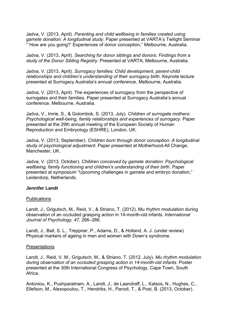Jadva, V. (2013, April). *Parenting and child wellbeing in families created using gamete donation: A longitudinal study*. Paper presented at VARTA's Twilight Seminar "'How are you going?' Experiences of donor conception," Melbourne, Australia.

Jadva, V. (2013, April). *Searching for donor siblings and donors: Findings from a study of the Donor Sibling Registry*. Presented at VARTA, Melbourne, Australia.

Jadva, V. (2013, April). *Surrogacy families: Child development, parent-child relationships and children's understanding of their surrogacy birth*. Keynote lecture presented at Surrogacy Australia's annual conference, Melbourne, Australia.

Jadva, V. (2013, April). The experiences of surrogacy from the perspective of surrogates and their families. Paper presented at Surrogacy Australia's annual conference, Melbourne, Australia.

Jadva, V., Imrie, S., & Golombok, S. (2013, July). *Children of surrogate mothers: Psychological well-being, family relationships and experiences of surrogacy*. Paper presented at the 29th annual meeting of the European Society of Human Reproduction and Embryology (ESHRE), London, UK.

Jadva, V. (2013, September). *Children born through donor conception: A longitudinal study of psychological adjustment*. Paper presented at Motherhood-All Change, Manchester, UK.

Jadva, V. (2013, October). *Children conceived by gamete donation: Psychological wellbeing, family functioning and children's understanding of their birth*. Paper presented at symposium "Upcoming challenges in gamete and embryo donation," Leiderdorp, Netherlands.

#### **Jennifer Landt**

#### **Publications**

Landt, J., Grigutsch, M., Reid, V., & Striano, T. (2012). Mu rhythm modulation during observation of an occluded grasping action in 14-month-old infants. *International Journal of Psychology, 47*, 266–266.

Landt, J., Ball, S. L., Treppner, P., Adams, D., & Holland, A. J. (under review). Physical markers of ageing in men and women with Down's syndrome.

#### **Presentations**

Landt, J., Reid, V. M., Grigutsch, M., & Striano, T. (2012, July). *Mu rhythm modulation during observation of an occluded grasping action in 14-month-old infants*. Poster presented at the 30th International Congress of Psychology, Cape Town, South Africa.

Antoniou, K., Pushparatnam, A., Landt, J., de Laandraff, L., Katsos, N., Hughes, C., Ellefson, M., Alexopoulou, T., Hendriks, H., Parodi, T., & Post, B. (2013, October).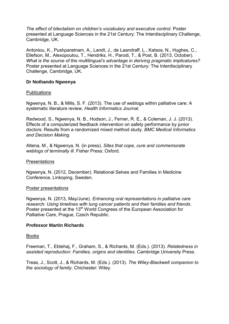*The effect of bilectalism on children's vocabulary and executive control*. Poster presented at Language Sciences in the 21st Century: The Interdisciplinary Challenge, Cambridge, UK.

Antoniou, K., Pushparatnam, A., Landt, J., de Laandraff, L., Katsos, N., Hughes, C., Ellefson, M., Alexopoulou, T., Hendriks, H., Parodi, T., & Post, B. (2013, October). *What is the source of the multilingual's advantage in deriving pragmatic implicatures?* Poster presented at Language Sciences in the 21st Century: The Interdisciplinary Challenge, Cambridge, UK.

#### **Dr Nothando Ngwenya**

#### **Publications**

Ngwenya, N. B., & Mills, S. F. (2013). The use of weblogs within palliative care: A systematic literature review. *Health Informatics Journal*.

Redwood, S., Ngwenya, N. B., Hodson, J., Ferner, R. E., & Coleman, J. J. (2013). Effects of a computerized feedback intervention on safety performance by junior doctors: Results from a randomized mixed method study. *BMC Medical Informatics and Decision Making*.

Altena, M., & Ngwenya, N. (in press). *Sites that cope, cure and commemorate weblogs of terminally ill*. Fisher Press: Oxford.

#### **Presentations**

Ngwenya, N. (2012, December). Relational Selves and Families in Medicine Conference, Linkoping, Sweden.

#### Poster presentations

Ngwenya, N. (2013, May/June). *Enhancing oral representations in palliative care research: Using timelines with lung cancer patients and their families and friends*. Poster presented at the 13<sup>th</sup> World Congress of the European Association for Palliative Care, Prague, Czech Republic.

## **Professor Martin Richards**

## Books

Freeman, T., Ebtehaj, F., Graham, S., & Richards, M. (Eds.). (2013). *Relatedness in assisted reproduction: Families, origins and identities*. Cambridge University Press.

Treas, J., Scott, J., & Richards, M. (Eds.). (2013). *The Wiley-Blackwell companion to the sociology of family*. Chichester: Wiley.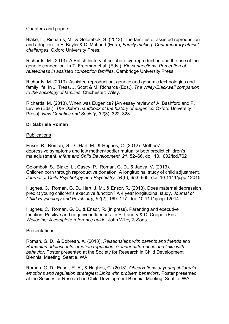## Chapters and papers

Blake, L., Richards, M., & Golombok, S. (2013). The families of assisted reproduction and adoption. In F. Baylis & C. McLoed (Eds.), *Family making: Contemporary ethical challenges*. Oxford University Press.

Richards, M. (2013). A British history of collaborative reproduction and the rise of the genetic connection. In T. Freeman et al. (Eds.), *Kin connections: Perception of relatedness in assisted conception families*. Cambridge University Press.

Richards, M. (2013). Assisted reproduction, genetic and genomic technologies and family life. In J. Treas, J. Scott & M. Richards (Eds.), *The Wiley-Blackwell companion to the sociology of families*. Chichester: Wiley.

Richards, M. (2013). When was Eugenics? [An essay review of A. Bashford and P. Levine (Eds.), *The Oxford handbook of the history of eugenics.* Oxford University Press]. *New Genetics and Society*, *32*(3), 322–328.

## **Dr Gabriela Roman**

## Publications

Ensor, R., Roman, G. D., Hart, M., & Hughes, C. (2012). Mothers' depressive symptoms and low mother-toddler mutuality both predict children's maladjustment. *Infant and Child Development, 21*, 52–66. doi: 10.1002/icd.762

Golombok, S., Blake, L., Casey, P., Roman, G. D., & Jadva, V. (2013). Children born through reproductive donation: A longitudinal study of child adjustment. *Journal of Child Psychology and Psychiatry, 54*(6), 653–660. doi: 10.1111/jcpp.12015

Hughes, C., Roman, G. D., Hart, J. M., & Ensor, R. (2013). Does maternal depression predict young children's executive function? A 4 year longitudinal study. *Journal of Child Psychology and Psychiatry, 54*(2), 169–177. doi: 10.1111/jcpp.12014

Hughes, C., Roman, G. D., & Ensor, R. (in press). Parenting and executive function: Positive and negative influences. In S. Landry & C. Cooper (Eds.), *Wellbeing: A complete reference guide*. John Wiley & Sons.

## Presentations

Roman, G. D., & Dobrean, A. (2013). *Relationships with parents and friends and Romanian adolescents' emotion regulation: Gender differences and links with behavior*. Poster presented at the Society for Research in Child Development Biennial Meeting, Seattle, WA.

Roman, G. D., Ensor, R. A., & Hughes, C. (2013). *Observations of young children's emotions and regulation strategies: Links with problem behaviors*. Poster presented at the Society for Research in Child Development Biennial Meeting, Seattle, WA.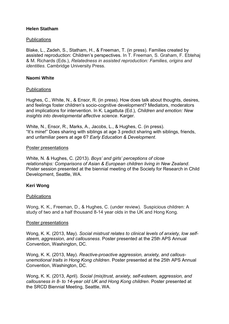## **Helen Statham**

## **Publications**

Blake, L., Zadeh, S., Statham, H., & Freeman, T. (in press). Families created by assisted reproduction: Children's perspectives. In T. Freeman, S. Graham, F. Ebtehaj & M. Richards (Eds.), *Relatedness in assisted reproduction: Families, origins and identities*. Cambridge University Press.

## **Naomi White**

## **Publications**

Hughes, C., White, N., & Ensor, R. (in press). How does talk about thoughts, desires, and feelings foster children's socio-cognitive development? Mediators, moderators and implications for intervention. In K. Lagattuta (Ed.), *Children and emotion: New insights into developmental affective science*. Karger.

White, N., Ensor, R., Marks, A., Jacobs, L., & Hughes, C. (in press). "It's mine!" Does sharing with siblings at age 3 predict sharing with siblings, friends, and unfamiliar peers at age 6? *Early Education & Development*.

#### Poster presentations

White, N. & Hughes, C. (2013). *Boys' and girls' perceptions of close relationships: Comparisons of Asian & European children living in New Zealand*. Poster session presented at the biennial meeting of the Society for Research in Child Development, Seattle, WA.

## **Keri Wong**

## **Publications**

Wong, K. K., Freeman, D., & Hughes, C. (under review). Suspicious children: A study of two and a half thousand 8-14 year olds in the UK and Hong Kong.

## Poster presentations

Wong, K. K. (2013, May). *Social mistrust relates to clinical levels of anxiety, low selfsteem, aggression, and callousness*. Poster presented at the 25th APS Annual Convention, Washington, DC.

Wong, K. K. (2013, May). *Reactive-proactive aggression, anxiety, and callousunemotional traits in Hong Kong children*. Poster presented at the 25th APS Annual Convention, Washington, DC.

Wong, K. K. (2013, April). *Social (mis)trust, anxiety, self-esteem, aggression, and callousness in 8- to 14-year old UK and Hong Kong children*. Poster presented at the SRCD Biennial Meeting, Seattle, WA.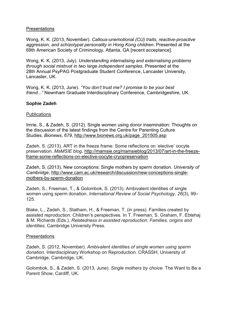## **Presentations**

Wong, K. K. (2013, November). *Callous-unemotional (CU) traits, reactive-proactive aggression, and schizotypal personality in Hong Kong children*. Presented at the 69th American Society of Criminology, Atlanta, GA [recent acceptance].

Wong, K. K. (2013, July). *Understanding internalising and externalising problems through social mistrust in two large independent samples*. Presented at the 28th Annual PsyPAG Postgraduate Student Conference, Lancaster University, Lancaster, UK.

Wong, K. K. (2013, June). *"You don't trust me? I promise to be your best friend..."* Newnham Graduate Interdisciplinary Conference, Cambridgeshire, UK.

## **Sophie Zadeh**

## **Publications**

Imrie, S., & Zadeh, S. (2012). Single women using donor insemination: Thoughts on the discussion of the latest findings from the Centre for Parenting Culture Studies. *Bionews*, *679*, [http://www.bionews.org.uk/page\\_201505.asp](http://www.bionews.org.uk/page_201505.asp)

Zadeh, S. (2013). ART in the freeze frame: Some reflections on 'elective' oocyte preservation. *MaMSIE blog*, [http://mamsie.org/mamsieblog/2013/07/art-in-the-freeze](http://mamsie.org/mamsieblog/2013/07/art-in-the-freeze-frame-some-reflections-on-elective-oocyte-cryopreservation/)[frame-some-reflections-on-elective-oocyte-cryopreservation](http://mamsie.org/mamsieblog/2013/07/art-in-the-freeze-frame-some-reflections-on-elective-oocyte-cryopreservation/)

Zadeh, S. (2013). New conceptions: Single mothers by sperm donation. *University of Cambridge*, [http://www.cam.ac.uk/research/discussion/new-conceptions-single](http://www.cam.ac.uk/research/discussion/new-conceptions-single-mothers-by-sperm-donation)[mothers-by-sperm-donation](http://www.cam.ac.uk/research/discussion/new-conceptions-single-mothers-by-sperm-donation)

Zadeh, S., Freeman, T., & Golombok, S. (2013). Ambivalent identities of single women using sperm donation. *International Review of Social Psychology, 26*(3), 99– 125.

Blake, L., Zadeh, S., Statham, H., & Freeman, T. (in press). Families created by assisted reproduction: Children's perspectives. In T. Freeman, S. Graham, F. Ebtehaj & M. Richards (Eds.), *Relatedness in assisted reproduction: Families, origins and identities*. Cambridge University Press.

## Presentations

Zadeh, S. (2012, November). *Ambivalent identities of single women using sperm donation.* Interdisciplinary Workshop on Reproduction. CRASSH, University of Cambridge, Cambridge, UK.

Golombok, S., & Zadeh, S. (2013, June). *Single mothers by choice.* The Want to Be a Parent Show, Cardiff, UK.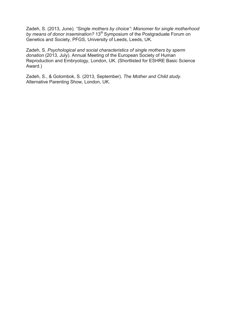Zadeh, S. (2013, June). *"Single mothers by choice": Misnomer for single motherhood by means of donor insemination?* 13th Symposium of the Postgraduate Forum on Genetics and Society, PFGS, University of Leeds, Leeds, UK.

Zadeh, S. *Psychological and social characteristics of single mothers by sperm donation* (2013, July). Annual Meeting of the European Society of Human Reproduction and Embryology, London, UK. (Shortlisted for ESHRE Basic Science Award.)

Zadeh, S., & Golombok, S. (2013, September). *The Mother and Child study*. Alternative Parenting Show, London, UK.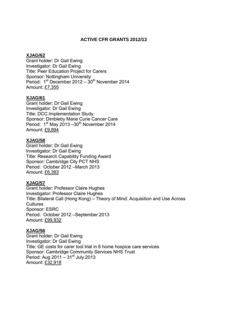#### **ACTIVE CFR GRANTS 2012/13**

#### **XJAG/62**

Grant holder: Dr Gail Ewing Investigator: Dr Gail Ewing Title: Peer Education Project for Carers Sponsor: Nottingham University Period: 1<sup>st</sup> December 2012 – 30<sup>th</sup> November 2014 Amount: £7,355

## **XJAG/61**

Grant holder: Dr Gail Ewing Investigator: Dr Gail Ewing Title: DCC Implementation Study Sponsor: Dimbleby Marie Curie Cancer Care Period:  $1<sup>st</sup>$  May 2013 – 30<sup>th</sup> November 2014 Amount: £9,894

## **XJAG/58**

Grant holder: Dr Gail Ewing Investigator: Dr Gail Ewing Title: Research Capability Funding Award Sponsor: Cambridge City PCT NHS Period: October 2012 –March 2013 Amount: £6,393

## **XJAG/57**

Grant holder: Professor Claire Hughes Investigator: Professor Claire Hughes Title: Bilateral Call (Hong Kong) – Theory of Mind: Acquisition and Use Across **Cultures** Sponsor: ESRC Period: October 2012 –September 2013 Amount: £99,932

## **XJAG/56**

Grant holder: Dr Gail Ewing Investigator: Dr Gail Ewing Title: GE costs for carer tool trial in 6 home hospice care services Sponsor: Cambridge Community Services NHS Trust Period: Aug 2011 –  $31<sup>st</sup>$  July 2013 Amount: £32,918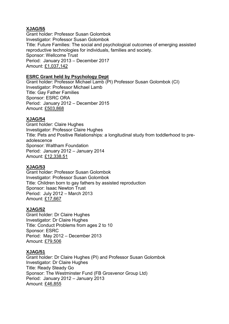## **XJAG/55**

Grant holder: Professor Susan Golombok Investigator: Professor Susan Golombok Title: Future Families: The social and psychological outcomes of emerging assisted reproductive technologies for individuals, families and society. Sponsor: Wellcome Trust Period: January 2013 – December 2017 Amount: £1,037,142

## **ESRC Grant held by Psychology Dept**

Grant holder: Professor Michael Lamb (PI) Professor Susan Golombok (CI) Investigator: Professor Michael Lamb Title: Gay Father Families Sponsor: ESRC ORA Period: January 2012 – December 2015 Amount: £503,868

## **XJAG/54**

Grant holder: Claire Hughes Investigator: Professor Claire Hughes Title: Pets and Positive Relationships: a longitudinal study from toddlerhood to preadolescence Sponsor: Waltham Foundation Period: January 2012 – January 2014 Amount: £12,338.51

## **XJAG/53**

Grant holder: Professor Susan Golombok Investigator: Professor Susan Golombok Title: Children born to gay fathers by assisted reproduction Sponsor: Isaac Newton Trust Period: July 2012 – March 2013 Amount: £17,667

## **XJAG/52**

Grant holder: Dr Claire Hughes Investigator: Dr Claire Hughes Title: Conduct Problems from ages 2 to 10 Sponsor: ESRC Period: May 2012 – December 2013 Amount: £79,506

## **XJAG/51**

Grant holder: Dr Claire Hughes (PI) and Professor Susan Golombok Investigator: Dr Claire Hughes Title: Ready Steady Go Sponsor: The Westminster Fund (FB Grosvenor Group Ltd) Period: January 2012 – January 2013 Amount: £46,855